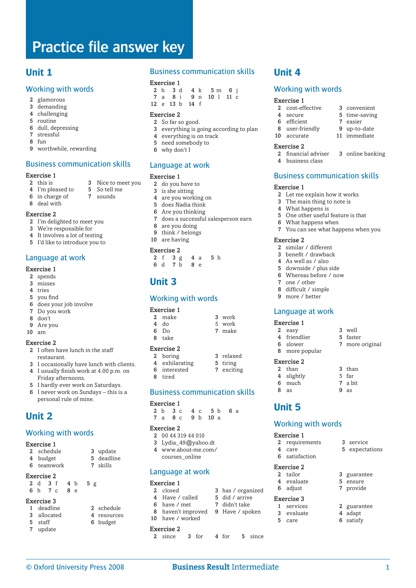# **Unit 1**

#### Working with words

- 2 glamorous
- 3 demanding
- 4 challenging
- 5 routine<br>6 dull de
- dull, depressing 7 stressful
- 8 fun
- 
- 9 worthwhile, rewarding

#### Business communication skills

#### Exercise 1

- 2 this is 3 Nice to meet you
- 4 I'm pleased to 5 So tell me<br>6 in charge of 7 sounds  $6$  in charge of
	-
- 8 deal with

#### Exercise 2

- 2 I'm delighted to meet you
- 3 We're responsible for
- 4 It involves a lot of testing
- 5 I'd like to introduce you to

#### Language at work

#### Exercise 1

- 2 spends
- 3 misses
- 4 tries
- 5 you find
- 6 does your job involve
- 7 Do you work 8 don't
- 9 Are you
- $10 \text{ am}$

#### Exercise 2

- 2 I often have lunch in the staff restaurant.
- 3 I occasionally have lunch with clients. 4 I usually finish work at 4.00 p.m. on Friday afternoons.
- 5 I hardly ever work on Saturdays.
- 6 I never work on Sundays this is a personal rule of mine.

# **Unit 2**

#### Working with words

#### Exercise 1

- 2 schedule 3 update
- 4 budget 5 deadline
- 6 teamwork 7 skills

#### Exercise 2

2 d 3 f 4 b 5 g 6 h 7 c 8 e

- Exercise 3
- 1 deadline 2 schedule
- 3 allocated 4 resources<br>5 staff 6 budget 6 budget
- 7 update

#### Business communication skills

- Exercise 1<br>2  $h$  3 d 2 h 3 d 4 k 5 m 6 j<br>7 a 8 i 9 n 10 l 11 c  $9 \text{ n}$  10 l 11 c
- 12 e 13 b 14 f

#### Exercise 2

- 2 So far so good.
- 3 everything is going according to plan
- 4 everything is on track
- 5 need somebody to
- 6 why don't I

#### Language at work

#### Exercise 1

- 2 do you have to  $3$  is she sitting
- is she sitting
- 4 are you working on
- 5 does Nadia think
- 6 Are you thinking
- 7 does a successful salesperson earn
- 8 are you doing
- 9 think / belongs 10 are having

#### Exercise 2

 $2 f 3 g 4 a 5 h$ <br>6 d 7 b 8 e  $6$  d  $7$  b

# **Unit 3**

#### Working with words

#### Exercise 1

| 2 make | 3 work |
|--------|--------|
| 4 do   | 5 work |
| 6 Do   | 7 make |
| 8 take |        |

#### Exercise 2

- 2 boring 3 relaxed<br>4 exhilarating 5 tiring 4 exhilarating
- 6 interested 7 exciting
- 8 tired
- Business communication skills

#### Exercise 1

2 b 3 c 4 c 5 b 6 a 7 a 8 c 9 b 10 a

#### Exercise 2

- 2 00 44 319 44 010
- 3 Lydia\_49@yahoo.dt 4 www.about-me.com/
- courses\_online

#### Language at work

#### Exercise 1

- 2 closed 3 has / organized
- 4 Have / called 5 did / arrive<br>6 have / met 7 didn't take
- $6$  have  $/$  met
- 8 haven't improved 9 Have / spoken 10 have / worked

#### Exercise 2

2 since 3 for 4 for 5 since

© Oxford University Press 2008 **Business Result** Intermediate

# **Unit 4**

#### Working with words

8 user-friendly 9 up-to-date<br>10 accurate 11 immediate

Business communication skills

2 Let me explain how it works 3 The main thing to note is 4 What happens is

5 One other useful feature is that

7 You can see what happens when you

6 What happens when

 similar / different benefit / drawback As well as / also downside / plus side Whereas before / now

7 one / other 8 difficult / simple 9 more / better

Exercise 1

Exercise 2

**Unit 5**

Exercise 1

Exercise 3

6 satisfaction Exercise 2

Language at work

 8 more popular

2 easy 3 well 4 friendlier 5 faster 6 slower 7 more original

2 than 3 than 4 slightly 5 far 6 much 7 a bit  $8 \text{ as } 9 \text{ as}$ 

Working with words

4 evaluate 5

2 requirements 3 service 4 care 5 expectations

2 tailor 3 guarantee<br>4 evaluate 5 ensure

1 services 2 guarantee 3 evaluate 4 adapt 5 care 6 satisfy

6 adjust 7 provide

3 online banking

#### Exercise 1

10 accurate

Exercise 1

Exercise 2

- 2 cost-effective 3 convenient
- 4 secure 5 time-saving 6 efficient 7 easier

**Exercise 2**<br>2 financial adviser

4 business class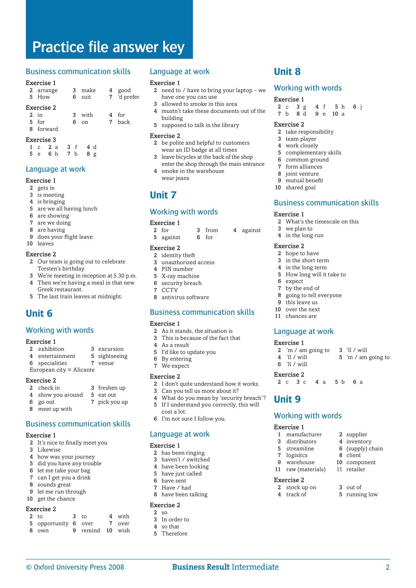#### Business communication skills

#### Exercise 1

|            | 2 arrange<br>5 How |   | 3 make<br>6 suit |  | 4 good<br>7 'd prefer |  |  |
|------------|--------------------|---|------------------|--|-----------------------|--|--|
| Exercise 2 |                    |   |                  |  |                       |  |  |
|            | 2.5m               |   | 3 with           |  | 4 for                 |  |  |
|            | 5 for              | 6 | $\alpha$         |  | 7 hack                |  |  |
|            | 8 forward          |   |                  |  |                       |  |  |

#### Exercise 3

|  | 1 c 2 a 3 f 4 d |  |
|--|-----------------|--|
|  | 5 e 6 h 7 b 8 g |  |

### Language at work

#### Exercise 1

- 2 gets in
- 3 is meeting
- 4 is bringing
- 5 are we all having lunch
- 6 are showing
- 7 are we doing
- 8 are having
- 9 does your flight leave 10 leaves

#### Exercise 2

- 2 Our team is going out to celebrate Torsten's birthday.
- 3 We're meeting in reception at 5.30 p.m.
- 4 Then we're having a meal in that new Greek restaurant.
- 5 The last train leaves at midnight.

# **Unit 6**

#### Working with words

#### Exercise 1

- 2 exhibition 3 excursion
- 4 entertainment 5 sightseeing<br>6 specialities 7 venue
- 6 specialities
- European city = Alicante

#### Exercise 2

- 2 check in 3 freshen up
- 4 show you around 5 eat out 6 go out 7 pick you up
- 8 meet up with

### Business communication skills Exercise 1

- 2 It's nice to finally meet you
- 3 Likewise
- 4 how was your journey
- 5 did you have any trouble
- 6 let me take your bag
- 7 can I get you a drink
- 8 sounds great
- 9 let me run through 10 get the chance

#### Exercise 2

| $2$ to               | 3 to             | 4 with |
|----------------------|------------------|--------|
| 5 opportunity 6 over |                  | 7 over |
| 8 own                | 9 remind 10 wish |        |

#### Language at work

#### Exercise 1

- 2 need to  $\ell$  have to bring your laptop we have one you can use
- 3 allowed to smoke in this area
- 4 mustn't take these documents out of the building
- 5 supposed to talk in the library

#### Exercise 2

- 2 be polite and helpful to customers wear an ID badge at all times
- 3 leave bicycles at the back of the shop enter the shop through the main entrance 4 smoke in the warehouse
- wear jeans

## **Unit 7**

#### Working with words

#### Exercise 1

- 2 for 3 from 4 against 5 against 6 for
	-

#### Exercise 2

- 2 identity theft 3 unauthorized access
- 4 PIN number
- 5 X-ray machine
- 6 security breach
- 7 CCTV
- 8 antivirus software

#### Business communication skills

#### Exercise 1

- 2 As it stands, the situation is
- 3 This is because of the fact that
- 4 As a result
- 5 I'd like to update you
- 6 By entering
- 7 We expect

#### Exercise 2

- 2 I don't quite understand how it works.
- 3 Can you tell us more about it?
- 4 What do you mean by 'security breach'? 5 If I understand you correctly, this will cost a lot.
- 6 I'm not sure I follow you.

#### Language at work

#### Exercise 1

- 2 has been ringing
- 3 haven't / switched
- 4 have been looking
- 5 have just called 6 have sent
- 7 Have / had
- 8 have been talking

#### Exercise 2

 $2 \times$ 

© Oxford University Press 2008 **Business Result** Intermediate

- 3 In order to
- 4 so that
- 5 Therefore

# **Unit 8**

#### Working with words

#### Exercise 1

2 c 3 g 4 f 5 h 6 j<br>7 b 8 d 9 e 10 a 9 e 10 a

Business communication skills

2 What's the timescale on this

#### Exercise 2

Exercise 1

Exercise 2 2 hope to have 3 in the short term 4 in the long term 5 How long will it take to

6 expect 7 by the end of

Exercise 1

 $6$  'll / will Exercise 2

**Unit 9**

Exercise 1

Exercise 2

3 distributors

11 raw (materials)

8 going to tell everyone<br>9 this leave us this leave us 10 over the next 11 chances are

Language at work

2 'm / am going to  $3$  'll / will<br>4 'll / will  $5$  'm / am

2 c 3 c 4 a 5 b 6 a

1 manufacturer 2 supplier<br>3 distributors 4 inventory

7 logisitcs 8 client<br>9 warehouse 10 comp 9 warehouse 10 component<br>11 raw (materials) 11 retailer

2 stock up on 3 out of 4 track of 5 running low

5 streamline 6 (supply) chain

Working with words

 $5$  'm / am going to

 $\overline{2}$ 

3 we plan to 4 in the long run

2 take responsibility

6 common ground 7 form alliances<br>8 ioint venture ioint venture 9 mutual benefit 10 shared goal

- 3 team player
- 4 work closely 5 complementary skills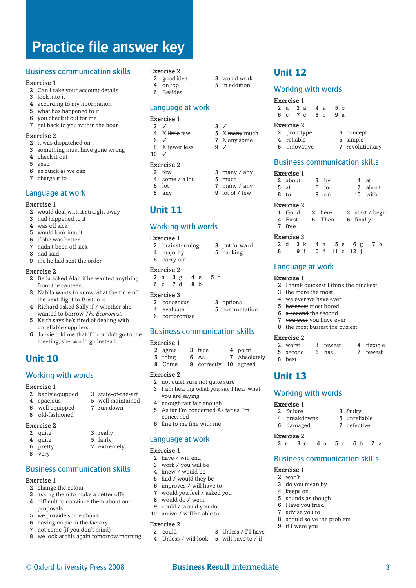#### Business communication skills

#### Exercise 1

- 2 Can I take your account details
- 3 look into it
- 4 according to my information
- 5 what has happened to it
- 6 you check it out for me
- 7 get back to you within the hour

#### Exercise 2

- 2 it was dispatched on
- 3 something must have gone wrong
- 4 check it out
- 5 asap
- 6 as quick as we can
- 7 charge it to

#### Language at work

#### Exercise 1

- 2 would deal with it straight away
- 3 had happened to it
- 4 was off sick
- 5 would look into it
- 6 if she was better
- 7 hadn't been off sick
- 8 had said
- 9 me he had sent the order

#### Exercise 2

- 2 Bella asked Alan if he wanted anything from the canteen.
- 3 Nabila wants to know what the time of the next flight to Boston is.
- 4 Richard asked Sally if / whether she wanted to borrow *The Economist*.
- 5 Keith says he's tired of dealing with unreliable suppliers.
- 6 Jackie told me that if I couldn't go to the meeting, she would go instead.

# **Unit 10**

#### Working with words

#### Exercise 1

- 2 badly equipped 3 state-of-the-art
- 4 spacious 5 well maintained
- 6 well equipped 7 run down
- 8 old-fashioned
- Exercise 2
- 2 quite 3 really
- 4 quite 5 fairly
- 6 pretty 7 extremely
- 8 very

## Business communication skills

#### Exercise 1

- 2 change the colour
- 3 asking them to make a better offer
- 4 difficult to convince them about our proposals
- 5 we provide some chairs
- 6 having music in the factory
- 7 not come (if you don't mind)
- 8 we look at this again tomorrow morning

#### Exercise 2

- 2 good idea 3 would work
- 4 on top 5 in addition
- 6 Besides

#### Language at work

#### Exercise 1

- 2  $\checkmark$  3  $\checkmark$ <br>4 X little few 5 X
- $6 \checkmark$  7 X any some
- 8  $X$  fewer less 9  $\checkmark$  $10 \frac{J}{I}$

#### Exercise 2

- 2 few 3 many / any 4 some / a lot 5 much 4 some  $/$  a lot
- 6 lot 7 many / any 8 any 9 lot of / few

# **Unit 11**

#### Working with words

#### Exercise 1

| 2 brainstorming | 3 put forward |
|-----------------|---------------|
| 4 majority      | 5 backing     |
| 6 carry out     |               |

 $5 \times$  many much

#### Exercise 2

2 a 3 g 4 e 5 h 6 c 7 d 8 b

#### Exercise 3

- 2 consensus 3 options 4 evaluate 5 confrontation
- 6 compromise

#### Business communication skills

#### Exercise 1

| 2 agree | 3 face                | 4 point      |
|---------|-----------------------|--------------|
| 5 thing | 6 As                  | 7 Absolutely |
| 8 Come  | 9 correctly 10 agreed |              |

#### Exercise 2

- 2 not quiet sure not quite sure
- 3 Ham hearing what you say I hear what
- you are saying
- 4 enough fair fair enough 5 As far I'm concerned As far as I'm
- concerned
- 6 fine to me fine with me

#### Language at work

#### Exercise 1

- 2 have / will end 3 work / you will be
- 
- 4  $\,$  knew / would be  $\,$  5  $\,$  had / would they had / would they be
- 6 improves / will have to
- 7 would you feel / asked you
- 8 would do / went
- 9 could / would you do
- 10 arrive / will be able to

# Exercise 2<br>2 could

3 I Inless / I'll have 4 Unless / will look 5 will have to / if

© Oxford University Press 2008 **Business Result** Intermediate

**Unit 12**

Exercise 1

Exercise 2

7 free Exercise 3

Exercise 1

Exercise 2

8 best

**Unit 13**

Exercise 1

Exercise 1  $2$  won't

> do you mean by keeps on sounds as though Have you tried advise you to

9 if I were you

8 should solve the problem

6 damaged Exercise 2

Working with words

Language at work

3 the more the most 4 we ever we have ever 5 boredest most bored 6 a second the second 7 vou ever you have ever 8 the most busiest the busiest

#### Working with words

| Exercise 1 |            |             |     |     |     |                 |
|------------|------------|-------------|-----|-----|-----|-----------------|
|            | 2a3a       |             |     | 4 a | 5 b |                 |
|            | 6 c 7 c    |             | 8 h |     | 9a  |                 |
|            | Exercise 2 |             |     |     |     |                 |
|            |            | 2 prototype |     |     |     | 3 concept       |
|            | 4 reliable |             |     |     |     | 5 simple        |
| 6          |            | innovative  |     |     |     | 7 revolutionary |

#### Business communication skills

2 about 3 by 4 at 5 at 6 for 7 about<br>8 to 9 on 10 with

1 Good 2 here 3 start / begin<br>4 First 5 Then 6 finally

2 d 3 k 4 a 5 e 6 g 7 b 8 l 9 i 10 f 11 c 12 j

2 **Hink quickest I think the quickest** 

2 worst 3 fewest 4 flexible 5 second 6 has 7 fewest

2 failure 3 faulty<br>4 breakdowns 5 unreliable 4 breakdowns 5 unreliable<br>6 damaged 7 defective

2 c 3 c 4 a 5 c 6 b 7 a

Business communication skills

10 with

6 finally